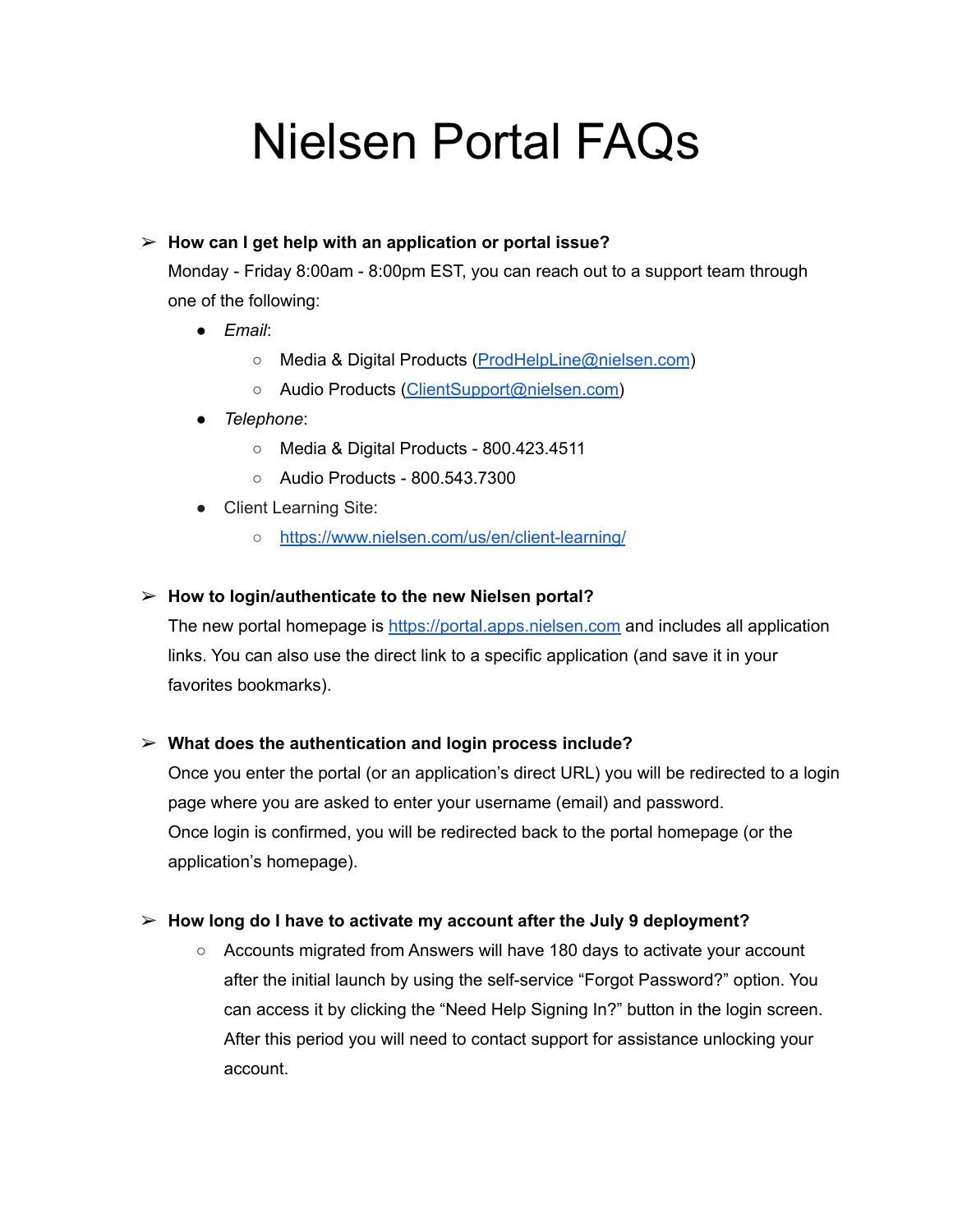# Nielsen Portal FAQs

# ➢ **How can I get help with an application or portal issue?**

Monday - Friday 8:00am - 8:00pm EST, you can reach out to a support team through one of the following:

- *Email*:
	- Media & Digital Products [\(ProdHelpLine@nielsen.com](mailto:ProdHelpLine@nielsen.com))
	- Audio Products [\(ClientSupport@nielsen.com\)](mailto:ClientSupport@nielsen.com)
- *Telephone*:
	- Media & Digital Products 800.423.4511
	- Audio Products 800.543.7300
- Client Learning Site:
	- <https://www.nielsen.com/us/en/client-learning/>

#### ➢ **How to login/authenticate to the new Nielsen portal?**

The new portal homepage is [https://portal.apps.nielsen.com](https://portal.apps.nielsen.com/) and includes all application links. You can also use the direct link to a specific application (and save it in your favorites bookmarks).

#### ➢ **What does the authentication and login process include?**

Once you enter the portal (or an application's direct URL) you will be redirected to a login page where you are asked to enter your username (email) and password. Once login is confirmed, you will be redirected back to the portal homepage (or the application's homepage).

#### ➢ **How long do I have to activate my account after the July 9 deployment?**

○ Accounts migrated from Answers will have 180 days to activate your account after the initial launch by using the self-service "Forgot Password?" option. You can access it by clicking the "Need Help Signing In?" button in the login screen. After this period you will need to contact support for assistance unlocking your account.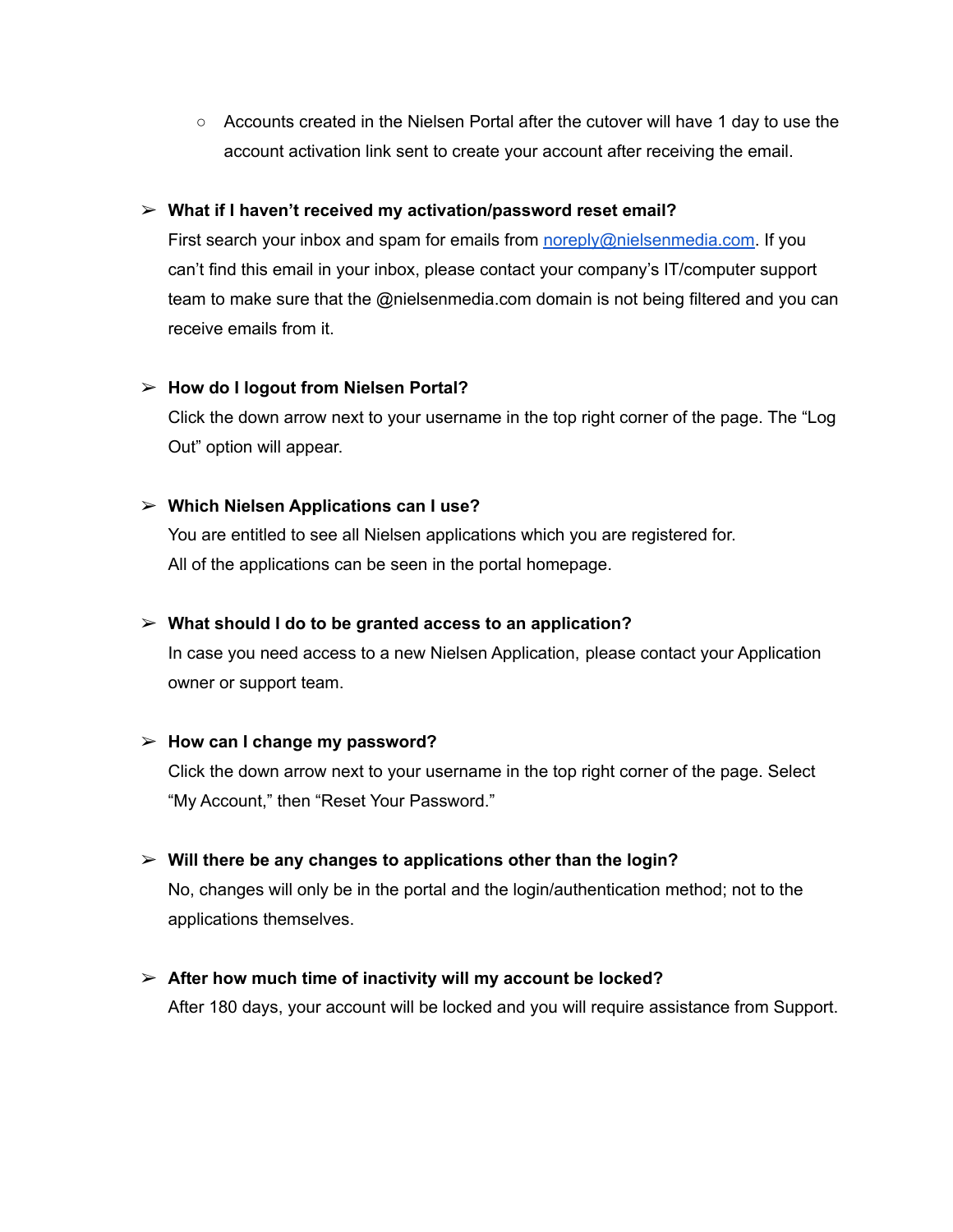○ Accounts created in the Nielsen Portal after the cutover will have 1 day to use the account activation link sent to create your account after receiving the email.

#### ➢ **What if I haven't received my activation/password reset email?**

First search your inbox and spam for emails from [noreply@nielsenmedia.com](mailto:noreply@nielsenmedia.com). If you can't find this email in your inbox, please contact your company's IT/computer support team to make sure that the @nielsenmedia.com domain is not being filtered and you can receive emails from it.

#### ➢ **How do I logout from Nielsen Portal?**

Click the down arrow next to your username in the top right corner of the page. The "Log Out" option will appear.

#### ➢ **Which Nielsen Applications can I use?**

You are entitled to see all Nielsen applications which you are registered for. All of the applications can be seen in the portal homepage.

### ➢ **What should I do to be granted access to an application?**

In case you need access to a new Nielsen Application, please contact your Application owner or support team.

#### ➢ **How can I change my password?**

Click the down arrow next to your username in the top right corner of the page. Select "My Account," then "Reset Your Password."

#### ➢ **Will there be any changes to applications other than the login?**

No, changes will only be in the portal and the login/authentication method; not to the applications themselves.

# ➢ **After how much time of inactivity will my account be locked?**

After 180 days, your account will be locked and you will require assistance from Support.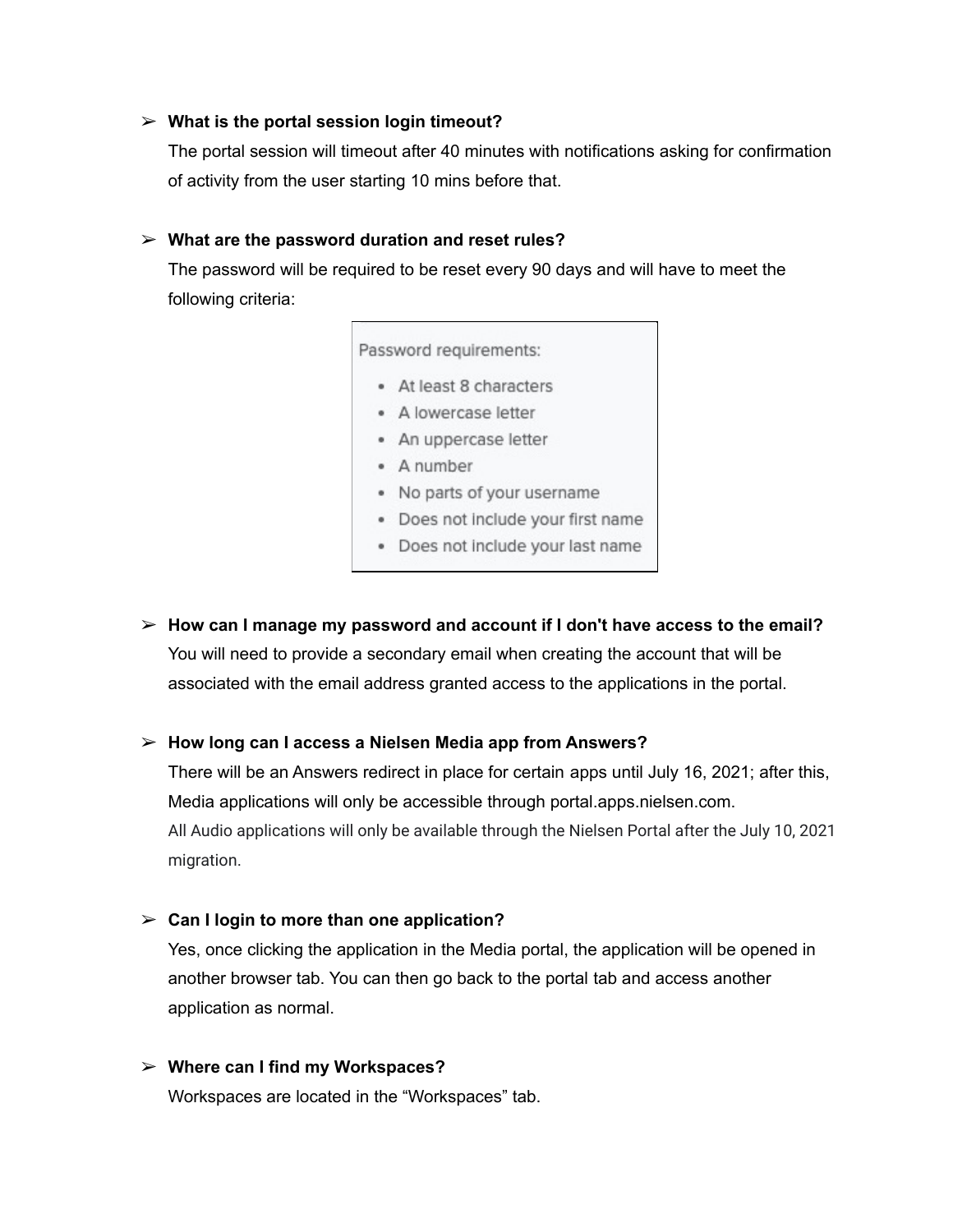#### ➢ **What is the portal session login timeout?**

The portal session will timeout after 40 minutes with notifications asking for confirmation of activity from the user starting 10 mins before that.

#### ➢ **What are the password duration and reset rules?**

The password will be required to be reset every 90 days and will have to meet the following criteria:

Password requirements:

- At least 8 characters
- · A lowercase letter
- An uppercase letter
- · A number
- · No parts of your username
- · Does not include your first name
- · Does not include your last name
- ➢ **How can I manage my password and account if I don't have access to the email?** You will need to provide a secondary email when creating the account that will be associated with the email address granted access to the applications in the portal.

#### ➢ **How long can I access a Nielsen Media app from Answers?**

There will be an Answers redirect in place for certain apps until July 16, 2021; after this, Media applications will only be accessible through portal.apps.nielsen.com. All Audio applications will only be available through the Nielsen Portal after the July 10, 2021 migration.

#### ➢ **Can I login to more than one application?**

Yes, once clicking the application in the Media portal, the application will be opened in another browser tab. You can then go back to the portal tab and access another application as normal.

#### ➢ **Where can I find my Workspaces?**

Workspaces are located in the "Workspaces" tab.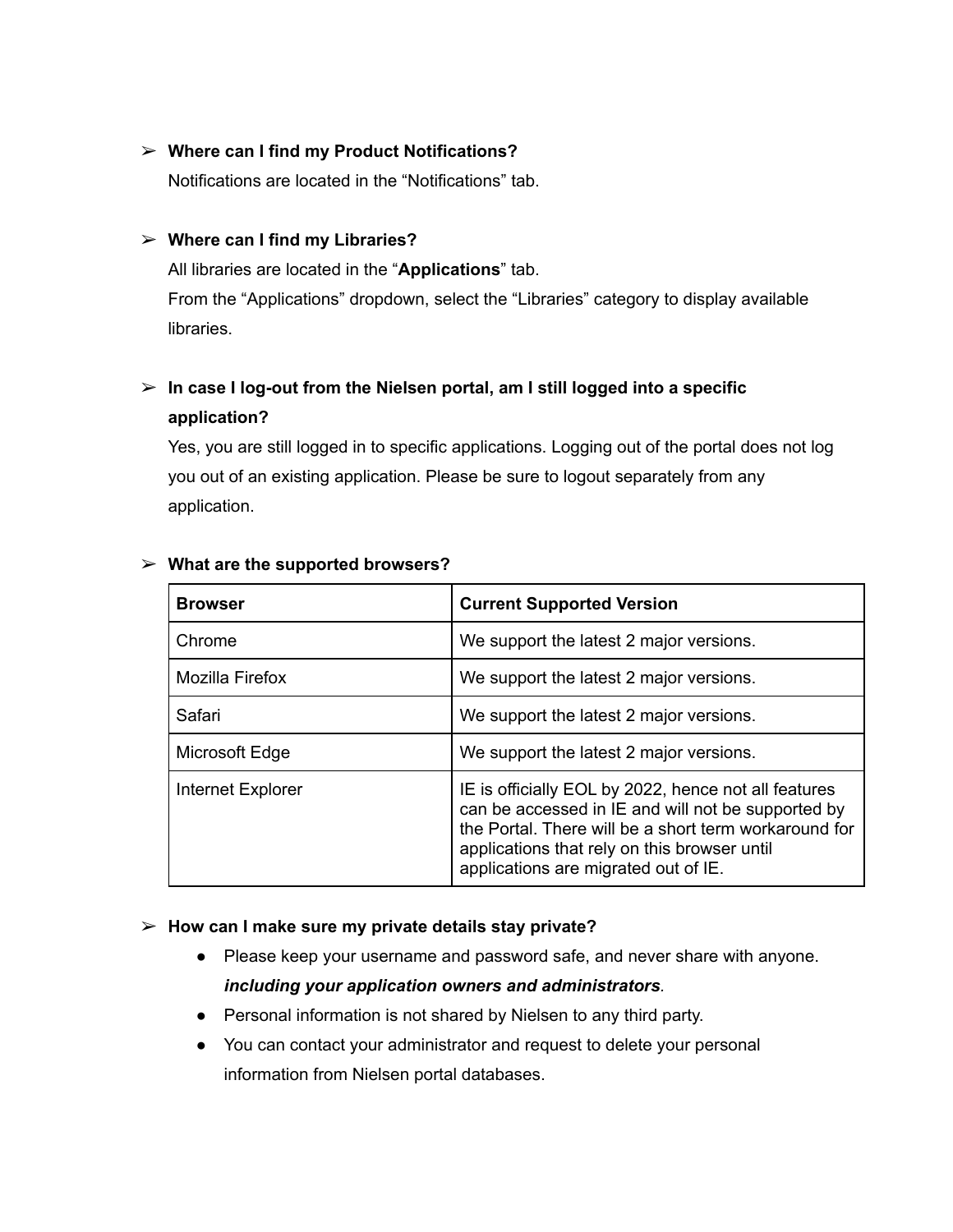#### ➢ **Where can I find my Product Notifications?**

Notifications are located in the "Notifications" tab.

#### ➢ **Where can I find my Libraries?**

All libraries are located in the "**Applications**" tab. From the "Applications" dropdown, select the "Libraries" category to display available libraries.

# ➢ **In case I log-out from the Nielsen portal, am I still logged into a specific application?**

Yes, you are still logged in to specific applications. Logging out of the portal does not log you out of an existing application. Please be sure to logout separately from any application.

| <b>Browser</b>    | <b>Current Supported Version</b>                                                                                                                                                                                                                            |
|-------------------|-------------------------------------------------------------------------------------------------------------------------------------------------------------------------------------------------------------------------------------------------------------|
| Chrome            | We support the latest 2 major versions.                                                                                                                                                                                                                     |
| Mozilla Firefox   | We support the latest 2 major versions.                                                                                                                                                                                                                     |
| Safari            | We support the latest 2 major versions.                                                                                                                                                                                                                     |
| Microsoft Edge    | We support the latest 2 major versions.                                                                                                                                                                                                                     |
| Internet Explorer | IE is officially EOL by 2022, hence not all features<br>can be accessed in IE and will not be supported by<br>the Portal. There will be a short term workaround for<br>applications that rely on this browser until<br>applications are migrated out of IE. |

#### ➢ **What are the supported browsers?**

#### ➢ **How can I make sure my private details stay private?**

- Please keep your username and password safe, and never share with anyone. *including your application owners and administrators.*
- Personal information is not shared by Nielsen to any third party.
- You can contact your administrator and request to delete your personal information from Nielsen portal databases.